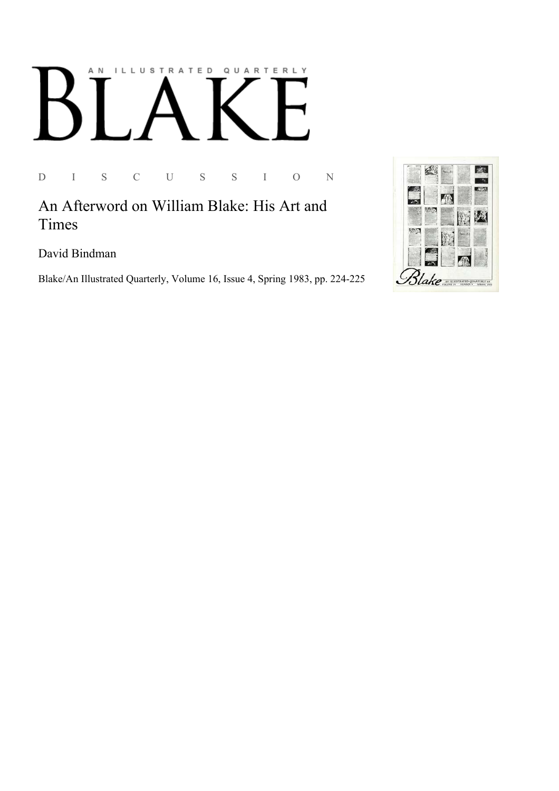## ILLUSTRATED QUARTERLY A N

D I S C U S S I O N

An Afterword on William Blake: His Art and Times

David Bindman

Blake/An Illustrated Quarterly, Volume 16, Issue 4, Spring 1983, pp. 224-225

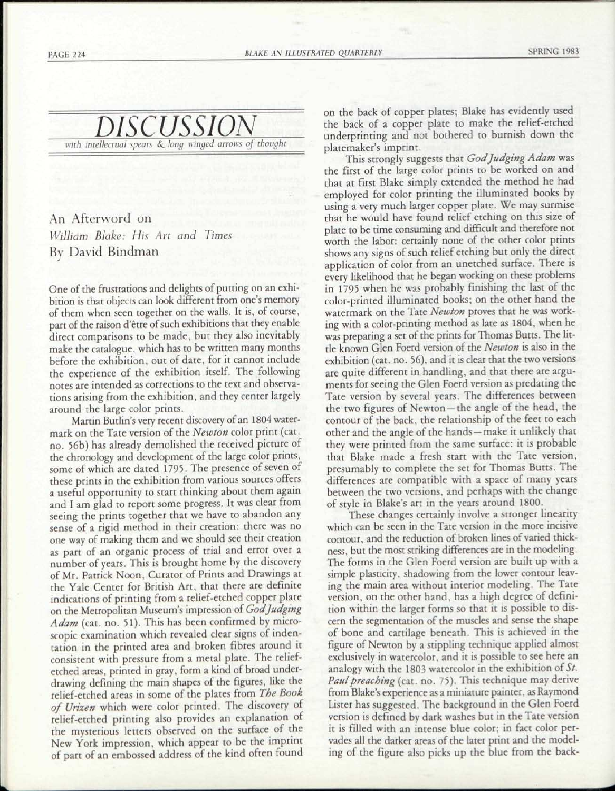

## An Afterword on *William Blake: His Art and Times*  BY David Bindman

One of the frustrations and delights of putting on an exhibition is that objects can look different from one's memory of them when seen together on the walls. It is, of course, part of the raison d'etre of such exhibitions that they enable direct comparisons to be made, but they also inevitably make the catalogue, which has to be written many months before the exhibition, out of date, for it cannot include the experience of the exhibition itself. The following notes are intended as corrections to the text and observations arising from the exhibition, and they center largely around the large color prints.

Martin Butlin's very recent discovery of an 1804 watermark on the Tate version of the *Newton* color print (cat. no. 56b) has already demolished the received picture of the chronology and development of the large color prints, some of which are dated 1795. The presence of seven of these prints in the exhibition from various sources offers a useful opportunity to start thinking about them again and I am glad to report some progress. It was clear from seeing the prints together that we have to abandon any sense of a rigid method in their creation; there was no one way of making them and we should see their creation as part of an organic process of trial and error over a number of years. This is brought home by the discovery of Mr. Patrick Noon, Curator of Prints and Drawings at the Yale Center for British Art, that there are definite indications of printing from a relief-etched copper plate on the Metropolitan Museum's impression of *God Judging Adam* (cat. no. 51). This has been confirmed by microscopic examination which revealed clear signs of indentation in the printed area and broken fibres around it consistent with pressure from a metal plate. The reliefetched areas, printed in gray, form a kind of broad underdrawing defining the main shapes of the figures, like the relief-etched areas in some of the plates from *The Book of Urizen* which were color printed. The discovery of relief-etched printing also provides an explanation of the mysterious letters observed on the surface of the New York impression, which appear to be the imprint of part of an embossed address of the kind often found

on the back of copper plates; Blake has evidently used the back of a copper plate to make the relief-etched underprinting and not bothered to burnish down the platemaker's imprint.

This strongly suggests that *God Judging Adam* was the first of the large color prints to be worked on and that at first Blake simply extended the method he had employed for color printing the illuminated books by using a very much larger copper plate. We may surmise that he would have found relief etching on this size of plate to be time consuming and difficult and therefore not worth the labor: certainly none of the other color prints shows any signs of such relief etching but only the direct application of color from an unetched surface. There is every likelihood that he began working on these problems in 1795 when he was probably finishing the last of the color-printed illuminated books; on the other hand the watermark on the Tate *Newton* proves that he was working with a color-printing method as late as 1804, when he was preparing a set of the prints for Thomas Butts. The little known Glen Foerd version of the *Newton* is also in the exhibition (cat. no. 56), and it is clear that the two versions are quite different in handling, and that there are arguments for seeing the Glen Foerd version as predating the Tate version by several years. The differences between the two figures of Newton —the angle of the head, the contour of the back, the relationship of the feet to each other and the angle of the hands —make it unlikely that they were printed from the same surface: it is probable that Blake made a fresh start with the Tate version, presumably to complete the set for Thomas Butts. The differences are compatible with a space of many years between the two versions, and perhaps with the change of style in Blake's art in the years around 1800.

These changes certainly involve a stronger linearity which can be seen in the Tate version in the more incisive contour, and the reduction of broken lines of varied thickness, but the most striking differences are in the modeling. The forms in the Glen Foerd version are built up with a simple plasticity, shadowing from the lower contour leaving the main area without interior modeling. The Tate version, on the other hand, has a high degree of definition within the larger forms so that it is possible to discern the segmentation of the muscles and sense the shape of bone and cartilage beneath. This is achieved in the figure of Newton by a stippling technique applied almost exclusively in watercolor, and it is possible to see here an analogy with the 1803 watercolor in the exhibition of *St. Paul preaching* (cat. no. 75). This technique may derive from Blake's experience as a miniature painter, as Raymond Lister has suggested. The background in the Glen Foerd version is defined by dark washes but in the Tate version it is filled with an intense blue color; in fact color pervades all the darker areas of the later print and the modeling of the figure also picks up the blue from the back-